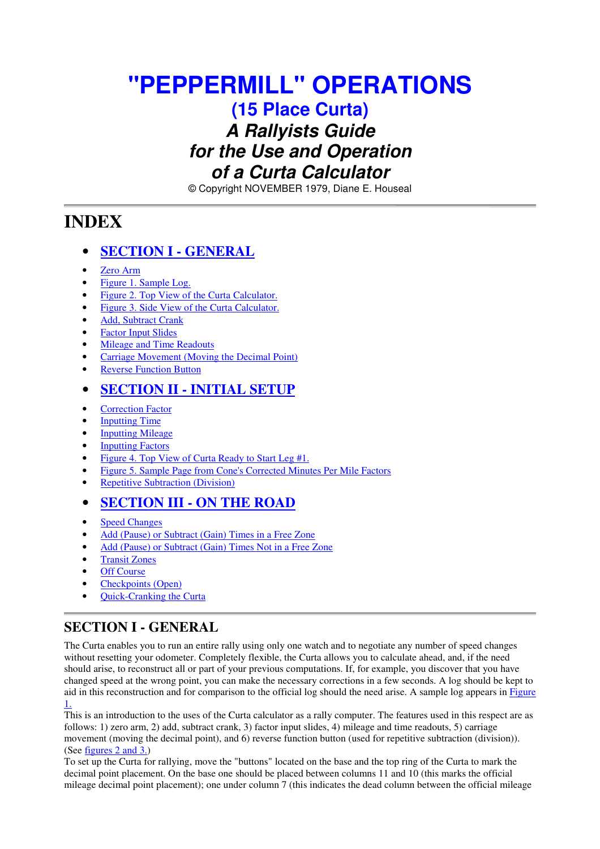# **"PEPPERMILL" OPERATIONS**

**(15 Place Curta)**

# *A Rallyists Guide for the Use and Operation of a Curta Calculator*

© Copyright NOVEMBER 1979, Diane E. Houseal

# **INDEX**

## • **SECTION I - GENERAL**

- Zero Arm
- Figure 1. Sample Log.
- Figure 2. Top View of the Curta Calculator.
- Figure 3. Side View of the Curta Calculator.
- Add, Subtract Crank
- **Factor Input Slides**
- Mileage and Time Readouts
- Carriage Movement (Moving the Decimal Point)
- **Reverse Function Button**

## • **SECTION II - INITIAL SETUP**

- **Correction Factor**
- **Inputting Time**
- **Inputting Mileage**
- **Inputting Factors**
- Figure 4. Top View of Curta Ready to Start Leg #1.
- Figure 5. Sample Page from Cone's Corrected Minutes Per Mile Factors
- Repetitive Subtraction (Division)

# • **SECTION III - ON THE ROAD**

- **Speed Changes**
- Add (Pause) or Subtract (Gain) Times in a Free Zone
- Add (Pause) or Subtract (Gain) Times Not in a Free Zone
- Transit Zones
- **Off Course**
- Checkpoints (Open)
- Quick-Cranking the Curta

# **SECTION I - GENERAL**

The Curta enables you to run an entire rally using only one watch and to negotiate any number of speed changes without resetting your odometer. Completely flexible, the Curta allows you to calculate ahead, and, if the need should arise, to reconstruct all or part of your previous computations. If, for example, you discover that you have changed speed at the wrong point, you can make the necessary corrections in a few seconds. A log should be kept to aid in this reconstruction and for comparison to the official log should the need arise. A sample log appears in Figure 1.

This is an introduction to the uses of the Curta calculator as a rally computer. The features used in this respect are as follows: 1) zero arm, 2) add, subtract crank, 3) factor input slides, 4) mileage and time readouts, 5) carriage movement (moving the decimal point), and 6) reverse function button (used for repetitive subtraction (division)). (See figures 2 and 3.)

To set up the Curta for rallying, move the "buttons" located on the base and the top ring of the Curta to mark the decimal point placement. On the base one should be placed between columns 11 and 10 (this marks the official mileage decimal point placement); one under column 7 (this indicates the dead column between the official mileage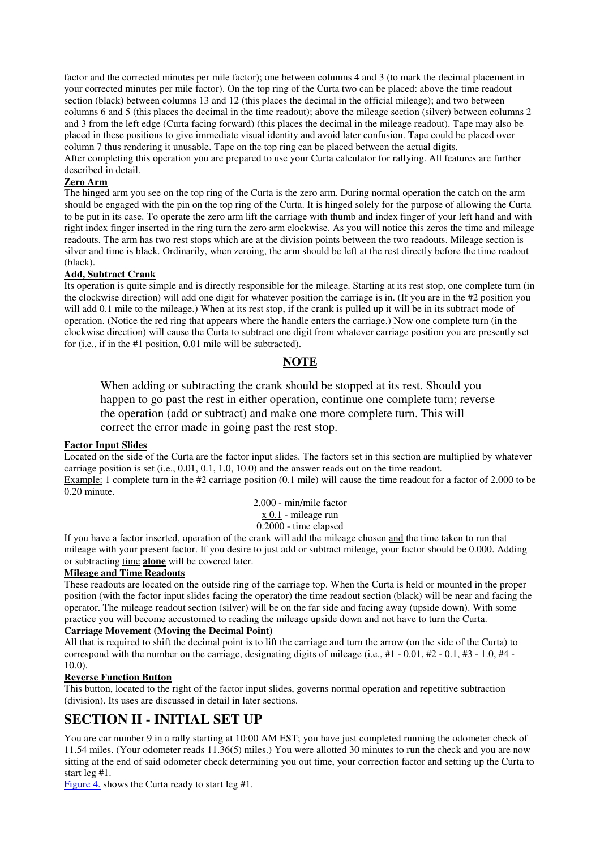factor and the corrected minutes per mile factor); one between columns 4 and 3 (to mark the decimal placement in your corrected minutes per mile factor). On the top ring of the Curta two can be placed: above the time readout section (black) between columns 13 and 12 (this places the decimal in the official mileage); and two between columns 6 and 5 (this places the decimal in the time readout); above the mileage section (silver) between columns 2 and 3 from the left edge (Curta facing forward) (this places the decimal in the mileage readout). Tape may also be placed in these positions to give immediate visual identity and avoid later confusion. Tape could be placed over column 7 thus rendering it unusable. Tape on the top ring can be placed between the actual digits. After completing this operation you are prepared to use your Curta calculator for rallying. All features are further described in detail.

#### **Zero Arm**

The hinged arm you see on the top ring of the Curta is the zero arm. During normal operation the catch on the arm should be engaged with the pin on the top ring of the Curta. It is hinged solely for the purpose of allowing the Curta to be put in its case. To operate the zero arm lift the carriage with thumb and index finger of your left hand and with right index finger inserted in the ring turn the zero arm clockwise. As you will notice this zeros the time and mileage readouts. The arm has two rest stops which are at the division points between the two readouts. Mileage section is silver and time is black. Ordinarily, when zeroing, the arm should be left at the rest directly before the time readout (black).

#### **Add, Subtract Crank**

Its operation is quite simple and is directly responsible for the mileage. Starting at its rest stop, one complete turn (in the clockwise direction) will add one digit for whatever position the carriage is in. (If you are in the #2 position you will add 0.1 mile to the mileage.) When at its rest stop, if the crank is pulled up it will be in its subtract mode of operation. (Notice the red ring that appears where the handle enters the carriage.) Now one complete turn (in the clockwise direction) will cause the Curta to subtract one digit from whatever carriage position you are presently set for (i.e., if in the #1 position, 0.01 mile will be subtracted).

### **NOTE**

When adding or subtracting the crank should be stopped at its rest. Should you happen to go past the rest in either operation, continue one complete turn; reverse the operation (add or subtract) and make one more complete turn. This will correct the error made in going past the rest stop.

#### **Factor Input Slides**

Located on the side of the Curta are the factor input slides. The factors set in this section are multiplied by whatever carriage position is set (i.e., 0.01, 0.1, 1.0, 10.0) and the answer reads out on the time readout. Example: 1 complete turn in the #2 carriage position (0.1 mile) will cause the time readout for a factor of 2.000 to be 0.20 minute.

2.000 - min/mile factor x 0.1 - mileage run 0.2000 - time elapsed

If you have a factor inserted, operation of the crank will add the mileage chosen and the time taken to run that mileage with your present factor. If you desire to just add or subtract mileage, your factor should be 0.000. Adding or subtracting time **alone** will be covered later.

#### **Mileage and Time Readouts**

These readouts are located on the outside ring of the carriage top. When the Curta is held or mounted in the proper position (with the factor input slides facing the operator) the time readout section (black) will be near and facing the operator. The mileage readout section (silver) will be on the far side and facing away (upside down). With some practice you will become accustomed to reading the mileage upside down and not have to turn the Curta.

#### **Carriage Movement (Moving the Decimal Point)**

All that is required to shift the decimal point is to lift the carriage and turn the arrow (on the side of the Curta) to correspond with the number on the carriage, designating digits of mileage (i.e.,  $\#1 - 0.01$ ,  $\#2 - 0.1$ ,  $\#3 - 1.0$ ,  $\#4 - 1.0$ 10.0).

#### **Reverse Function Button**

This button, located to the right of the factor input slides, governs normal operation and repetitive subtraction (division). Its uses are discussed in detail in later sections.

### **SECTION II - INITIAL SET UP**

You are car number 9 in a rally starting at 10:00 AM EST; you have just completed running the odometer check of 11.54 miles. (Your odometer reads 11.36(5) miles.) You were allotted 30 minutes to run the check and you are now sitting at the end of said odometer check determining you out time, your correction factor and setting up the Curta to start leg #1.

Figure 4. shows the Curta ready to start leg #1.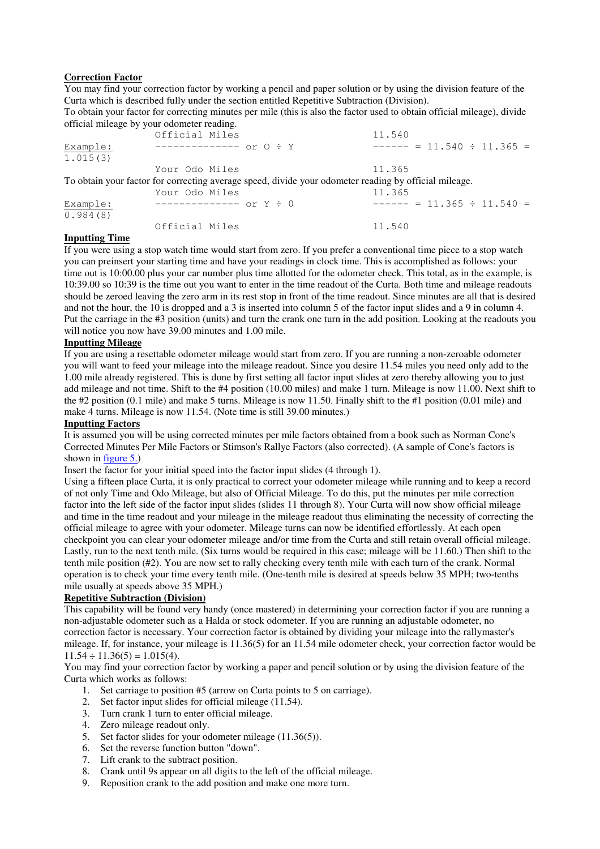#### **Correction Factor**

You may find your correction factor by working a pencil and paper solution or by using the division feature of the Curta which is described fully under the section entitled Repetitive Subtraction (Division).

To obtain your factor for correcting minutes per mile (this is also the factor used to obtain official mileage), divide official mileage by your odometer reading.

|          | Official Miles                                                                                        | 11.540                         |
|----------|-------------------------------------------------------------------------------------------------------|--------------------------------|
| Example: | $----------- or 0 : Y$                                                                                | $----- = 11.540 \div 11.365 =$ |
| 1.015(3) |                                                                                                       |                                |
|          | Your Odo Miles                                                                                        | 11.365                         |
|          | To obtain your factor for correcting average speed, divide your odometer reading by official mileage. |                                |
|          | Your Odo Miles                                                                                        | 11.365                         |
| Example: | $----------- or Y \div 0$                                                                             | $----- = 11.365 \div 11.540 =$ |
| 0.984(8) |                                                                                                       |                                |
|          | Official Miles                                                                                        | 11.540                         |

#### **Inputting Time**

If you were using a stop watch time would start from zero. If you prefer a conventional time piece to a stop watch you can preinsert your starting time and have your readings in clock time. This is accomplished as follows: your time out is 10:00.00 plus your car number plus time allotted for the odometer check. This total, as in the example, is 10:39.00 so 10:39 is the time out you want to enter in the time readout of the Curta. Both time and mileage readouts should be zeroed leaving the zero arm in its rest stop in front of the time readout. Since minutes are all that is desired and not the hour, the 10 is dropped and a 3 is inserted into column 5 of the factor input slides and a 9 in column 4. Put the carriage in the #3 position (units) and turn the crank one turn in the add position. Looking at the readouts you will notice you now have 39.00 minutes and 1.00 mile.

#### **Inputting Mileage**

If you are using a resettable odometer mileage would start from zero. If you are running a non-zeroable odometer you will want to feed your mileage into the mileage readout. Since you desire 11.54 miles you need only add to the 1.00 mile already registered. This is done by first setting all factor input slides at zero thereby allowing you to just add mileage and not time. Shift to the #4 position (10.00 miles) and make 1 turn. Mileage is now 11.00. Next shift to the #2 position (0.1 mile) and make 5 turns. Mileage is now 11.50. Finally shift to the #1 position (0.01 mile) and make 4 turns. Mileage is now 11.54. (Note time is still 39.00 minutes.)

#### **Inputting Factors**

It is assumed you will be using corrected minutes per mile factors obtained from a book such as Norman Cone's Corrected Minutes Per Mile Factors or Stimson's Rallye Factors (also corrected). (A sample of Cone's factors is shown in figure 5.)

Insert the factor for your initial speed into the factor input slides (4 through 1).

Using a fifteen place Curta, it is only practical to correct your odometer mileage while running and to keep a record of not only Time and Odo Mileage, but also of Official Mileage. To do this, put the minutes per mile correction factor into the left side of the factor input slides (slides 11 through 8). Your Curta will now show official mileage and time in the time readout and your mileage in the mileage readout thus eliminating the necessity of correcting the official mileage to agree with your odometer. Mileage turns can now be identified effortlessly. At each open checkpoint you can clear your odometer mileage and/or time from the Curta and still retain overall official mileage. Lastly, run to the next tenth mile. (Six turns would be required in this case; mileage will be 11.60.) Then shift to the tenth mile position (#2). You are now set to rally checking every tenth mile with each turn of the crank. Normal operation is to check your time every tenth mile. (One-tenth mile is desired at speeds below 35 MPH; two-tenths mile usually at speeds above 35 MPH.)

### **Repetitive Subtraction (Division)**

This capability will be found very handy (once mastered) in determining your correction factor if you are running a non-adjustable odometer such as a Halda or stock odometer. If you are running an adjustable odometer, no correction factor is necessary. Your correction factor is obtained by dividing your mileage into the rallymaster's mileage. If, for instance, your mileage is 11.36(5) for an 11.54 mile odometer check, your correction factor would be  $11.54 \div 11.36(5) = 1.015(4)$ .

You may find your correction factor by working a paper and pencil solution or by using the division feature of the Curta which works as follows:

- 1. Set carriage to position #5 (arrow on Curta points to 5 on carriage).
- 2. Set factor input slides for official mileage (11.54).
- 3. Turn crank 1 turn to enter official mileage.
- 4. Zero mileage readout only.
- 5. Set factor slides for your odometer mileage (11.36(5)).
- 6. Set the reverse function button "down".
- 7. Lift crank to the subtract position.
- 8. Crank until 9s appear on all digits to the left of the official mileage.
- 9. Reposition crank to the add position and make one more turn.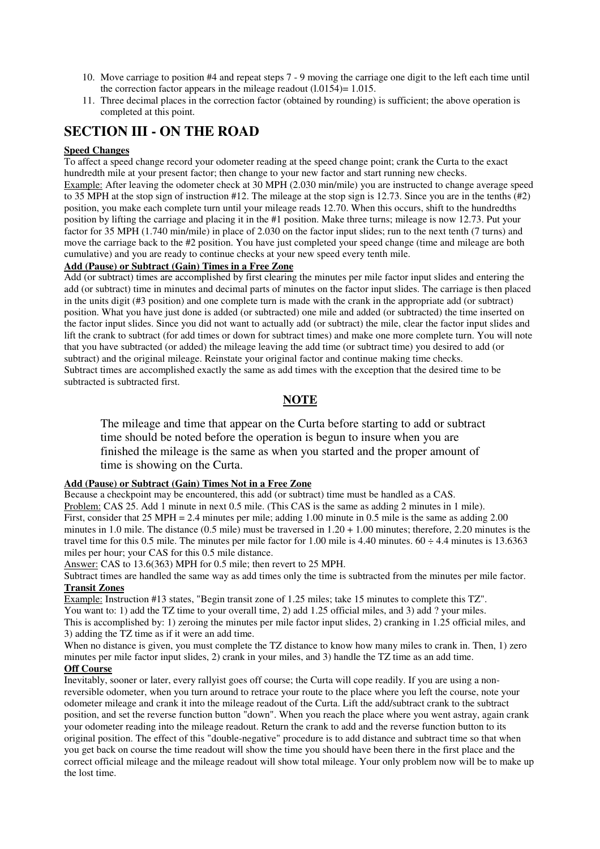- 10. Move carriage to position #4 and repeat steps 7 9 moving the carriage one digit to the left each time until the correction factor appears in the mileage readout  $(1.0154)=1.015$ .
- 11. Three decimal places in the correction factor (obtained by rounding) is sufficient; the above operation is completed at this point.

### **SECTION III - ON THE ROAD**

#### **Speed Changes**

To affect a speed change record your odometer reading at the speed change point; crank the Curta to the exact hundredth mile at your present factor; then change to your new factor and start running new checks.

Example: After leaving the odometer check at 30 MPH (2.030 min/mile) you are instructed to change average speed to 35 MPH at the stop sign of instruction #12. The mileage at the stop sign is 12.73. Since you are in the tenths (#2) position, you make each complete turn until your mileage reads 12.70. When this occurs, shift to the hundredths position by lifting the carriage and placing it in the #1 position. Make three turns; mileage is now 12.73. Put your factor for 35 MPH (1.740 min/mile) in place of 2.030 on the factor input slides; run to the next tenth (7 turns) and move the carriage back to the #2 position. You have just completed your speed change (time and mileage are both cumulative) and you are ready to continue checks at your new speed every tenth mile.

#### **Add (Pause) or Subtract (Gain) Times in a Free Zone**

Add (or subtract) times are accomplished by first clearing the minutes per mile factor input slides and entering the add (or subtract) time in minutes and decimal parts of minutes on the factor input slides. The carriage is then placed in the units digit (#3 position) and one complete turn is made with the crank in the appropriate add (or subtract) position. What you have just done is added (or subtracted) one mile and added (or subtracted) the time inserted on the factor input slides. Since you did not want to actually add (or subtract) the mile, clear the factor input slides and lift the crank to subtract (for add times or down for subtract times) and make one more complete turn. You will note that you have subtracted (or added) the mileage leaving the add time (or subtract time) you desired to add (or subtract) and the original mileage. Reinstate your original factor and continue making time checks. Subtract times are accomplished exactly the same as add times with the exception that the desired time to be subtracted is subtracted first.

### **NOTE**

The mileage and time that appear on the Curta before starting to add or subtract time should be noted before the operation is begun to insure when you are finished the mileage is the same as when you started and the proper amount of time is showing on the Curta.

#### **Add (Pause) or Subtract (Gain) Times Not in a Free Zone**

Because a checkpoint may be encountered, this add (or subtract) time must be handled as a CAS. Problem: CAS 25. Add 1 minute in next 0.5 mile. (This CAS is the same as adding 2 minutes in 1 mile). First, consider that 25 MPH = 2.4 minutes per mile; adding 1.00 minute in 0.5 mile is the same as adding 2.00 minutes in 1.0 mile. The distance  $(0.5 \text{ mile})$  must be traversed in  $1.20 + 1.00$  minutes; therefore, 2.20 minutes is the travel time for this 0.5 mile. The minutes per mile factor for 1.00 mile is 4.40 minutes.  $60 \div 4.4$  minutes is 13.6363 miles per hour; your CAS for this 0.5 mile distance.

Answer: CAS to 13.6(363) MPH for 0.5 mile; then revert to 25 MPH.

Subtract times are handled the same way as add times only the time is subtracted from the minutes per mile factor. **Transit Zones**

Example: Instruction #13 states, "Begin transit zone of 1.25 miles; take 15 minutes to complete this TZ". You want to: 1) add the TZ time to your overall time, 2) add 1.25 official miles, and 3) add ? your miles. This is accomplished by: 1) zeroing the minutes per mile factor input slides, 2) cranking in 1.25 official miles, and 3) adding the TZ time as if it were an add time.

When no distance is given, you must complete the TZ distance to know how many miles to crank in. Then, 1) zero minutes per mile factor input slides, 2) crank in your miles, and 3) handle the TZ time as an add time.

### **Off Course**

Inevitably, sooner or later, every rallyist goes off course; the Curta will cope readily. If you are using a nonreversible odometer, when you turn around to retrace your route to the place where you left the course, note your odometer mileage and crank it into the mileage readout of the Curta. Lift the add/subtract crank to the subtract position, and set the reverse function button "down". When you reach the place where you went astray, again crank your odometer reading into the mileage readout. Return the crank to add and the reverse function button to its original position. The effect of this "double-negative" procedure is to add distance and subtract time so that when you get back on course the time readout will show the time you should have been there in the first place and the correct official mileage and the mileage readout will show total mileage. Your only problem now will be to make up the lost time.